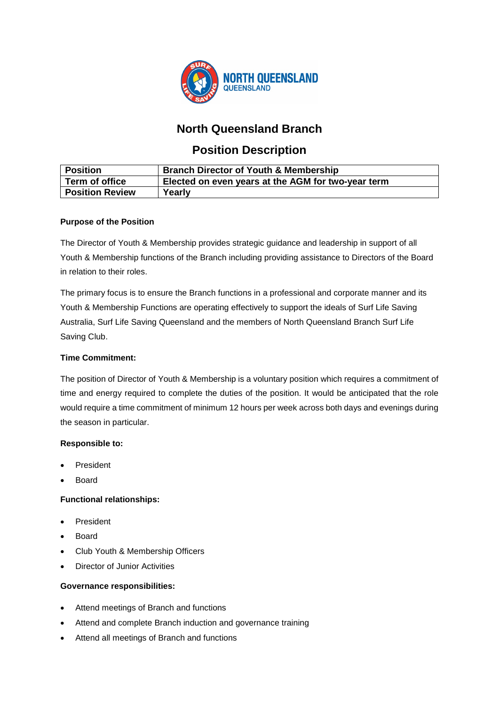

# **North Queensland Branch**

# **Position Description**

| <b>Position</b>        | <b>Branch Director of Youth &amp; Membership</b>   |
|------------------------|----------------------------------------------------|
| Term of office         | Elected on even years at the AGM for two-year term |
| <b>Position Review</b> | Yearly                                             |

### **Purpose of the Position**

The Director of Youth & Membership provides strategic guidance and leadership in support of all Youth & Membership functions of the Branch including providing assistance to Directors of the Board in relation to their roles.

The primary focus is to ensure the Branch functions in a professional and corporate manner and its Youth & Membership Functions are operating effectively to support the ideals of Surf Life Saving Australia, Surf Life Saving Queensland and the members of North Queensland Branch Surf Life Saving Club.

### **Time Commitment:**

The position of Director of Youth & Membership is a voluntary position which requires a commitment of time and energy required to complete the duties of the position. It would be anticipated that the role would require a time commitment of minimum 12 hours per week across both days and evenings during the season in particular.

## **Responsible to:**

- **President**
- Board

#### **Functional relationships:**

- **President**
- Board
- Club Youth & Membership Officers
- Director of Junior Activities

#### **Governance responsibilities:**

- Attend meetings of Branch and functions
- Attend and complete Branch induction and governance training
- Attend all meetings of Branch and functions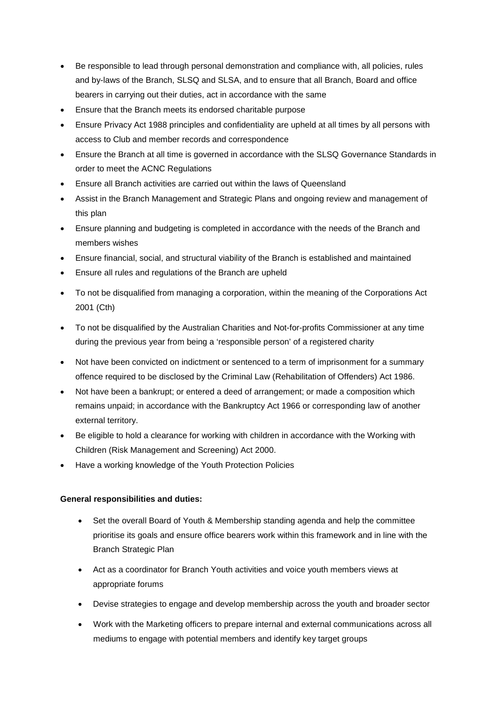- Be responsible to lead through personal demonstration and compliance with, all policies, rules and by-laws of the Branch, SLSQ and SLSA, and to ensure that all Branch, Board and office bearers in carrying out their duties, act in accordance with the same
- Ensure that the Branch meets its endorsed charitable purpose
- Ensure Privacy Act 1988 principles and confidentiality are upheld at all times by all persons with access to Club and member records and correspondence
- Ensure the Branch at all time is governed in accordance with the SLSQ Governance Standards in order to meet the ACNC Regulations
- Ensure all Branch activities are carried out within the laws of Queensland
- Assist in the Branch Management and Strategic Plans and ongoing review and management of this plan
- Ensure planning and budgeting is completed in accordance with the needs of the Branch and members wishes
- Ensure financial, social, and structural viability of the Branch is established and maintained
- Ensure all rules and regulations of the Branch are upheld
- To not be disqualified from managing a corporation, within the meaning of the Corporations Act 2001 (Cth)
- To not be disqualified by the Australian Charities and Not-for-profits Commissioner at any time during the previous year from being a 'responsible person' of a registered charity
- Not have been convicted on indictment or sentenced to a term of imprisonment for a summary offence required to be disclosed by the Criminal Law (Rehabilitation of Offenders) Act 1986.
- Not have been a bankrupt; or entered a deed of arrangement; or made a composition which remains unpaid; in accordance with the Bankruptcy Act 1966 or corresponding law of another external territory.
- Be eligible to hold a clearance for working with children in accordance with the Working with Children (Risk Management and Screening) Act 2000.
- Have a working knowledge of the Youth Protection Policies

#### **General responsibilities and duties:**

- Set the overall Board of Youth & Membership standing agenda and help the committee prioritise its goals and ensure office bearers work within this framework and in line with the Branch Strategic Plan
- Act as a coordinator for Branch Youth activities and voice youth members views at appropriate forums
- Devise strategies to engage and develop membership across the youth and broader sector
- Work with the Marketing officers to prepare internal and external communications across all mediums to engage with potential members and identify key target groups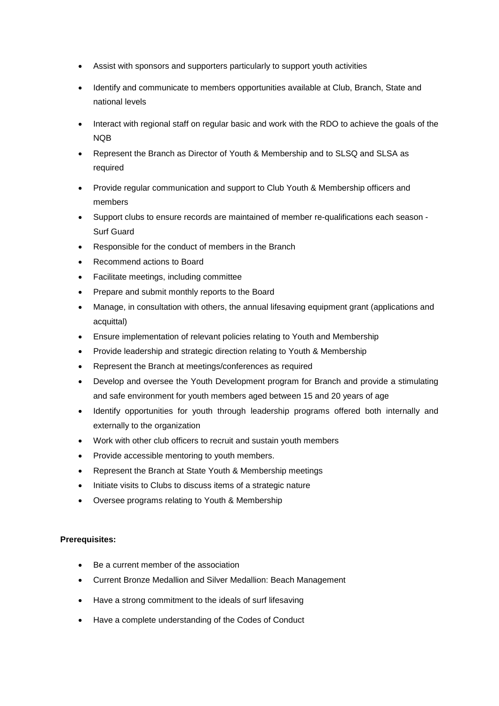- Assist with sponsors and supporters particularly to support youth activities
- Identify and communicate to members opportunities available at Club, Branch, State and national levels
- Interact with regional staff on regular basic and work with the RDO to achieve the goals of the NQB
- Represent the Branch as Director of Youth & Membership and to SLSQ and SLSA as required
- Provide regular communication and support to Club Youth & Membership officers and members
- Support clubs to ensure records are maintained of member re-qualifications each season Surf Guard
- Responsible for the conduct of members in the Branch
- Recommend actions to Board
- Facilitate meetings, including committee
- Prepare and submit monthly reports to the Board
- Manage, in consultation with others, the annual lifesaving equipment grant (applications and acquittal)
- Ensure implementation of relevant policies relating to Youth and Membership
- Provide leadership and strategic direction relating to Youth & Membership
- Represent the Branch at meetings/conferences as required
- Develop and oversee the Youth Development program for Branch and provide a stimulating and safe environment for youth members aged between 15 and 20 years of age
- Identify opportunities for youth through leadership programs offered both internally and externally to the organization
- Work with other club officers to recruit and sustain youth members
- Provide accessible mentoring to youth members.
- Represent the Branch at State Youth & Membership meetings
- Initiate visits to Clubs to discuss items of a strategic nature
- Oversee programs relating to Youth & Membership

#### **Prerequisites:**

- Be a current member of the association
- Current Bronze Medallion and Silver Medallion: Beach Management
- Have a strong commitment to the ideals of surf lifesaving
- Have a complete understanding of the Codes of Conduct